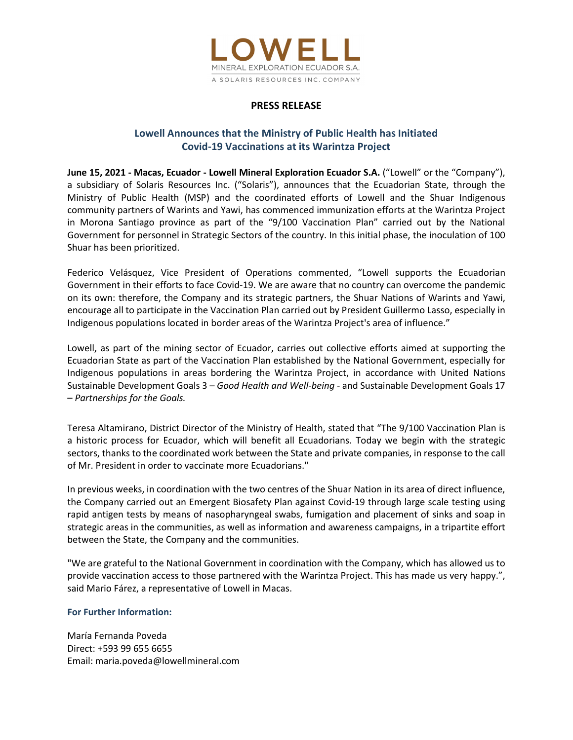

## PRESS RELEASE

# Lowell Announces that the Ministry of Public Health has Initiated Covid-19 Vaccinations at its Warintza Project

June 15, 2021 - Macas, Ecuador - Lowell Mineral Exploration Ecuador S.A. ("Lowell" or the "Company"), a subsidiary of Solaris Resources Inc. ("Solaris"), announces that the Ecuadorian State, through the Ministry of Public Health (MSP) and the coordinated efforts of Lowell and the Shuar Indigenous community partners of Warints and Yawi, has commenced immunization efforts at the Warintza Project in Morona Santiago province as part of the "9/100 Vaccination Plan" carried out by the National Government for personnel in Strategic Sectors of the country. In this initial phase, the inoculation of 100 Shuar has been prioritized.

Federico Velásquez, Vice President of Operations commented, "Lowell supports the Ecuadorian Government in their efforts to face Covid-19. We are aware that no country can overcome the pandemic on its own: therefore, the Company and its strategic partners, the Shuar Nations of Warints and Yawi, encourage all to participate in the Vaccination Plan carried out by President Guillermo Lasso, especially in Indigenous populations located in border areas of the Warintza Project's area of influence."

Lowell, as part of the mining sector of Ecuador, carries out collective efforts aimed at supporting the Ecuadorian State as part of the Vaccination Plan established by the National Government, especially for Indigenous populations in areas bordering the Warintza Project, in accordance with United Nations Sustainable Development Goals 3 – Good Health and Well-being - and Sustainable Development Goals 17<br>- Partnerships for the Goals.

 Teresa Altamirano, District Director of the Ministry of Health, stated that "The 9/100 Vaccination Plan is a historic process for Ecuador, which will benefit all Ecuadorians. Today we begin with the strategic sectors, thanks to the coordinated work between the State and private companies, in response to the call of Mr. President in order to vaccinate more Ecuadorians."

In previous weeks, in coordination with the two centres of the Shuar Nation in its area of direct influence, the Company carried out an Emergent Biosafety Plan against Covid-19 through large scale testing using rapid antigen tests by means of nasopharyngeal swabs, fumigation and placement of sinks and soap in strategic areas in the communities, as well as information and awareness campaigns, in a tripartite effort between the State, the Company and the communities.

"We are grateful to the National Government in coordination with the Company, which has allowed us to provide vaccination access to those partnered with the Warintza Project. This has made us very happy.", said Mario Fárez, a representative of Lowell in Macas.

## For Further Information:

María Fernanda Poveda Direct: +593 99 655 6655 Email: maria.poveda@lowellmineral.com